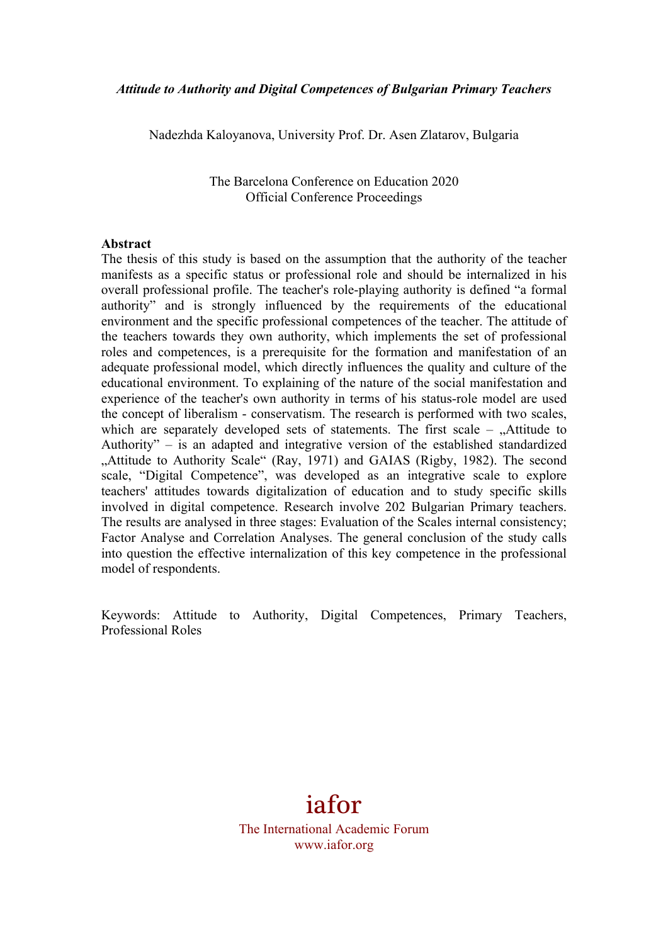Nadezhda Kaloyanova, University Prof. Dr. Asen Zlatarov, Bulgaria

The Barcelona Conference on Education 2020 Official Conference Proceedings

#### **Abstract**

The thesis of this study is based on the assumption that the authority of the teacher manifests as a specific status or professional role and should be internalized in his overall professional profile. The teacher's role-playing authority is defined "a formal authority" and is strongly influenced by the requirements of the educational environment and the specific professional competences of the teacher. The attitude of the teachers towards they own authority, which implements the set of professional roles and competences, is a prerequisite for the formation and manifestation of an adequate professional model, which directly influences the quality and culture of the educational environment. To explaining of the nature of the social manifestation and experience of the teacher's own authority in terms of his status-role model are used the concept of liberalism - conservatism. The research is performed with two scales, which are separately developed sets of statements. The first scale  $-$  "Attitude to Authority" – is an adapted and integrative version of the established standardized "Attitude to Authority Scale" (Ray, 1971) and GAIAS (Rigby, 1982). The second scale, "Digital Competence", was developed as an integrative scale to explore teachers' attitudes towards digitalization of education and to study specific skills involved in digital competence. Research involve 202 Bulgarian Primary teachers. The results are analysed in three stages: Evaluation of the Scales internal consistency; Factor Analyse and Correlation Analyses. The general conclusion of the study calls into question the effective internalization of this key competence in the professional model of respondents.

Keywords: Attitude to Authority, Digital Competences, Primary Teachers, Professional Roles

iafor

The International Academic Forum www.iafor.org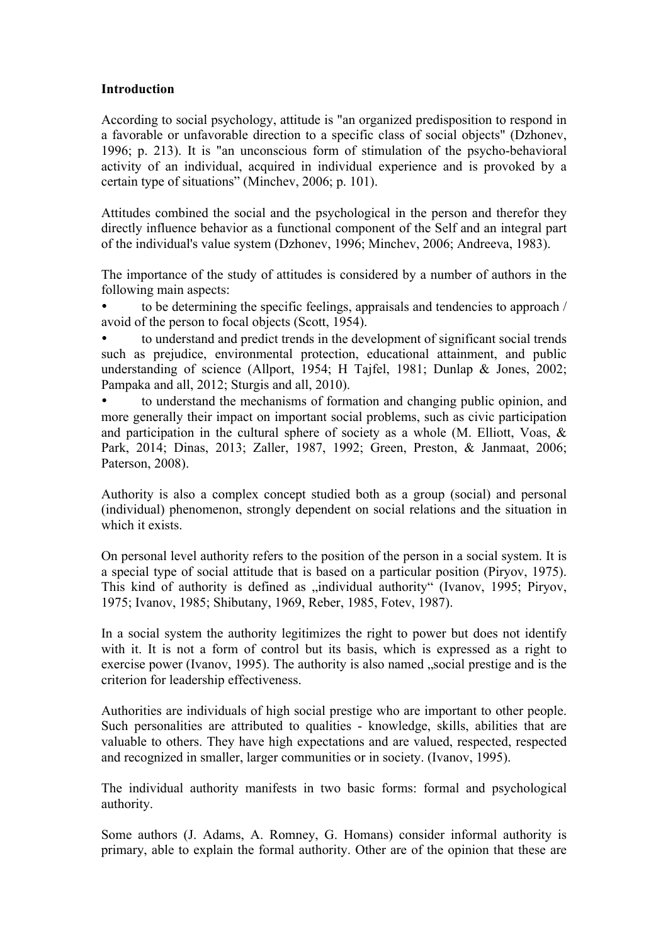#### **Introduction**

According to social psychology, attitude is "an organized predisposition to respond in a favorable or unfavorable direction to a specific class of social objects" (Dzhonev, 1996; p. 213). It is "an unconscious form of stimulation of the psycho-behavioral activity of an individual, acquired in individual experience and is provoked by a certain type of situations" (Minchev, 2006; p. 101).

Attitudes combined the social and the psychological in the person and therefor they directly influence behavior as a functional component of the Self and an integral part of the individual's value system (Dzhonev, 1996; Minchev, 2006; Andreeva, 1983).

Тhe importance of the study of attitudes is considered by a number of authors in the following main aspects:

• to be determining the specific feelings, appraisals and tendencies to approach / avoid of the person to focal objects (Scott, 1954).

• to understand and predict trends in the development of significant social trends such as prejudice, environmental protection, educational attainment, and public understanding of science (Allport, 1954; H Tajfel, 1981; Dunlap & Jones, 2002; Pampaka and all, 2012; Sturgis and all, 2010).

• to understand the mechanisms of formation and changing public opinion, and more generally their impact on important social problems, such as civic participation and participation in the cultural sphere of society as a whole  $(M.$  Elliott, Voas,  $\&$ Park, 2014; Dinas, 2013; Zaller, 1987, 1992; Green, Preston, & Janmaat, 2006; Paterson, 2008).

Authority is also a complex concept studied both as a group (social) and personal (individual) phenomenon, strongly dependent on social relations and the situation in which it exists.

On personal level authority refers to the position of the person in a social system. It is a special type of social attitude that is based on a particular position (Piryov, 1975). This kind of authority is defined as "individual authority" (Ivanov, 1995; Piryov, 1975; Ivanov, 1985; Shibutany, 1969, Reber, 1985, Fotev, 1987).

In a social system the authority legitimizes the right to power but does not identify with it. It is not a form of control but its basis, which is expressed as a right to exercise power (Ivanov, 1995). The authority is also named "social prestige and is the criterion for leadership effectiveness.

Authorities are individuals of high social prestige who are important to other people. Such personalities are attributed to qualities - knowledge, skills, abilities that are valuable to others. They have high expectations and are valued, respected, respected and recognized in smaller, larger communities or in society. (Ivanov, 1995).

The individual authority manifests in two basic forms: formal and psychological authority.

Some authors (J. Adams, A. Romney, G. Homans) consider informal authority is primary, able to explain the formal authority. Other are of the opinion that these are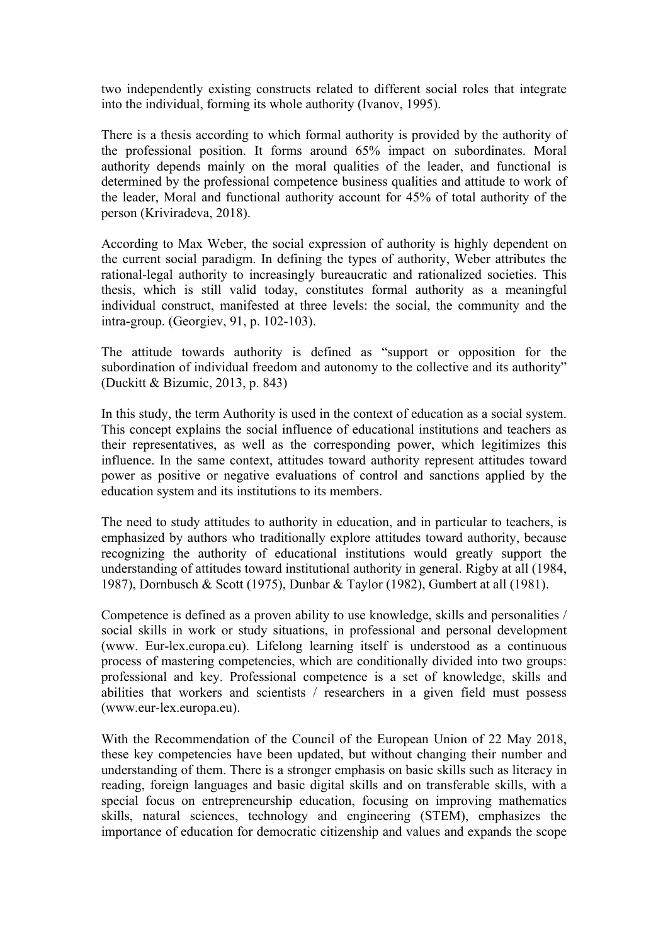two independently existing constructs related to different social roles that integrate into the individual, forming its whole authority (Ivanov, 1995).

There is a thesis according to which formal authority is provided by the authority of the professional position. It forms around 65% impact on subordinates. Moral authority depends mainly on the moral qualities of the leader, and functional is determined by the professional competence business qualities and attitude to work of the leader, Moral and functional authority account for 45% of total authority of the person (Kriviradeva, 2018).

Аccording to Max Weber, the social expression of authority is highly dependent on the current social paradigm. In defining the types of authority, Weber attributes the rational-legal authority to increasingly bureaucratic and rationalized societies. This thesis, which is still valid today, constitutes formal authority as a meaningful individual construct, manifested at three levels: the social, the community and the intra-group. (Georgiev, 91, p. 102-103).

The attitude towards authority is defined as "support or opposition for the subordination of individual freedom and autonomy to the collective and its authority" (Duckitt & Bizumic, 2013, p. 843)

In this study, the term Authority is used in the context of education as a social system. This concept explains the social influence of educational institutions and teachers as their representatives, as well as the corresponding power, which legitimizes this influence. In the same context, attitudes toward authority represent attitudes toward power as positive or negative evaluations of control and sanctions applied by the education system and its institutions to its members.

The need to study attitudes to authority in education, and in particular to teachers, is emphasized by authors who traditionally еxplore attitudes toward authority, because recognizing the authority of educational institutions would greatly support the understanding of attitudes toward institutional authority in general. Rigby at all (1984, 1987), Dornbusch & Scott (1975), Dunbar & Taylor (1982), Gumbert at all (1981).

Competence is defined as a proven ability to use knowledge, skills and personalities / social skills in work or study situations, in professional and personal development (www. Eur-lex.europa.eu). Lifelong learning itself is understood as a continuous process of mastering competencies, which are conditionally divided into two groups: professional and key. Professional competence is a set of knowledge, skills and abilities that workers and scientists / researchers in a given field must possess (www.eur-lex.europa.eu).

With the Recommendation of the Council of the European Union of 22 May 2018, these key competencies have been updated, but without changing their number and understanding of them. There is a stronger emphasis on basic skills such as literacy in reading, foreign languages and basic digital skills and on transferable skills, with a special focus on entrepreneurship education, focusing on improving mathematics skills, natural sciences, technology and engineering (STEM), emphasizes the importance of education for democratic citizenship and values and expands the scope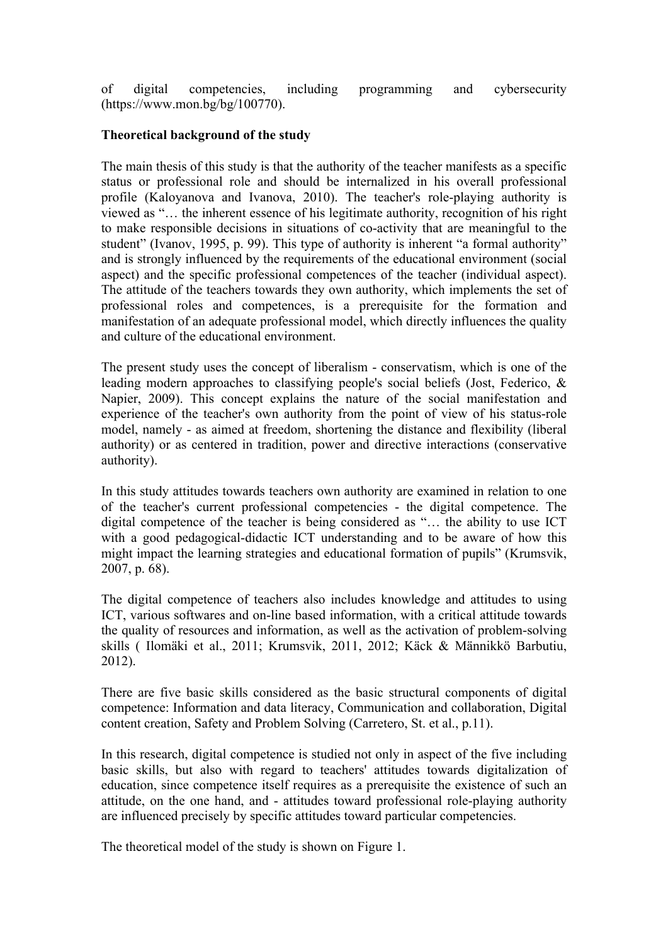of digital competencies, including programming and cybersecurity (https://www.mon.bg/bg/100770).

### **Theoretical background of the study**

The main thesis of this study is that the authority of the teacher manifests as a specific status or professional role and should be internalized in his overall professional profile (Kaloyanova and Ivanova, 2010). The teacher's role-playing authority is viewed as "… the inherent essence of his legitimate authority, recognition of his right to make responsible decisions in situations of co-activity that are meaningful to the student" (Ivanov, 1995, p. 99). Тhis type of authority is inherent "a formal authority" and is strongly influenced by the requirements of the educational environment (social aspect) and the specific professional competences of the teacher (individual aspect). The attitude of the teachers towards they own authority, which implements the set of professional roles and competences, is a prerequisite for the formation and manifestation of an adequate professional model, which directly influences the quality and culture of the educational environment.

The present study uses the concept of liberalism - conservatism, which is one of the leading modern approaches to classifying people's social beliefs (Jost, Federico, & Napier, 2009). This concept explains the nature of the social manifestation and experience of the teacher's own authority from the point of view of his status-role model, namely - as aimed at freedom, shortening the distance and flexibility (liberal authority) or as centered in tradition, power and directive interactions (conservative authority).

In this study attitudes towards teachers own authority are examined in relation to one of the teacher's current professional competencies - the digital competence. The digital competence of the teacher is being considered as "… the ability to use ICT with a good pedagogical-didactic ICT understanding and to be aware of how this might impact the learning strategies and educational formation of pupils" (Krumsvik, 2007, p. 68).

The digital competence of teachers also includes knowledge and attitudes to using ICT, various softwares and on-line based information, with a critical attitude towards the quality of resources and information, as well as the activation of problem-solving skills ( Ilomäki et al., 2011; Krumsvik, 2011, 2012; Käck & Männikkö Barbutiu, 2012).

There are five basic skills considered as the basic structural components of digital competence: Information and data literacy, Communication and collaboration, Digital content creation, Safety and Problem Solving (Carretero, St. et al., p.11).

In this research, digital competence is studied not only in aspect of the five including basic skills, but also with regard to teachers' attitudes towards digitalization of education, since competence itself requires as a prerequisite the existence of such an attitude, on the one hand, and - attitudes toward professional role-playing authority are influenced precisely by specific attitudes toward particular competencies.

The theoretical model of the study is shown on Figure 1.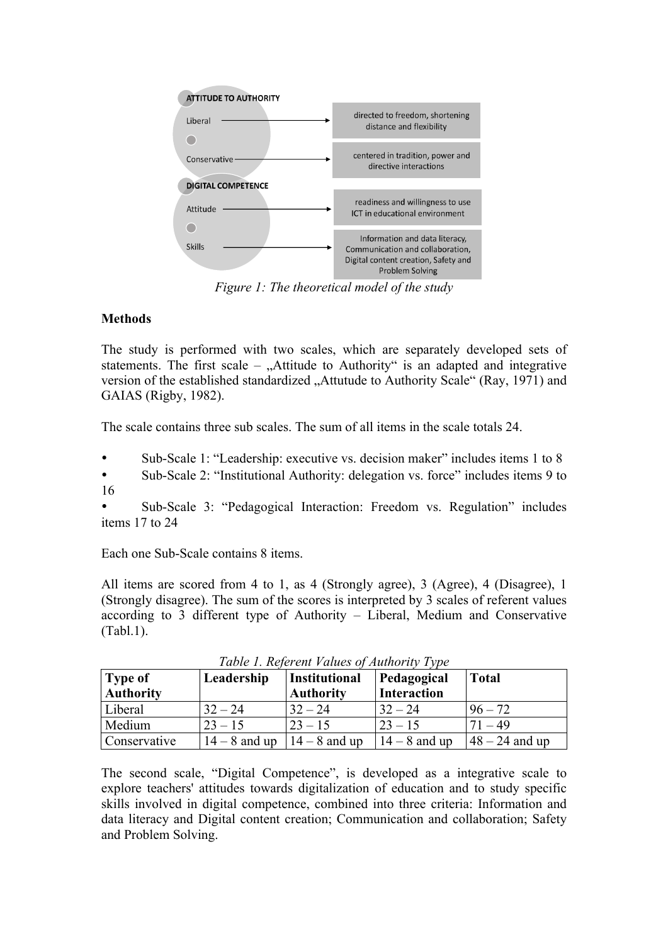

*Figure 1: The theoretical model of the study*

# **Methods**

The study is performed with two scales, which are separately developed sets of statements. The first scale –  $,$  Attitude to Authority" is an adapted and integrative version of the established standardized "Attutude to Authority Scale" (Ray, 1971) and GAIAS (Rigby, 1982).

The scale contains three sub scales. The sum of all items in the scale totals 24.

• Sub-Scale 1: "Leadership: executive vs. decision maker" includes items 1 to 8 • Sub-Scale 2: "Institutional Authority: delegation vs. force" includes items 9 to 16

• Sub-Scale 3: "Pedagogical Interaction: Freedom vs. Regulation" includes items 17 to 24

Each one Sub-Scale contains 8 items.

All items are scored from 4 to 1, as 4 (Strongly agree), 3 (Agree), 4 (Disagree), 1 (Strongly disagree). The sum of the scores is interpreted by 3 scales of referent values according to 3 different type of Authority – Liberal, Medium and Conservative (Tabl.1).

| Type of<br><b>Authority</b> | Leadership      | <b>Institutional</b><br><b>Authority</b> | Pedagogical<br><b>Interaction</b> | <b>Total</b>      |
|-----------------------------|-----------------|------------------------------------------|-----------------------------------|-------------------|
| Liberal                     | $32 - 24$       | $32 - 24$                                | $32 - 24$                         | $96 - 72$         |
| Medium                      | $23 - 15$       | $ 23 - 15 $                              | $23 - 15$                         | $71 - 49$         |
| Conservative                | $14 - 8$ and up | $14 - 8$ and up                          | $14 - 8$ and up                   | $ 48 - 24$ and up |

*Table 1. Referent Values of Authority Type*

The second scale, "Digital Competence", is developed as a integrative scale to explore teachers' attitudes towards digitalization of education and to study specific skills involved in digital competence, combined into three criteria: Information and data literacy and Digital content creation; Communication and collaboration; Safety and Problem Solving.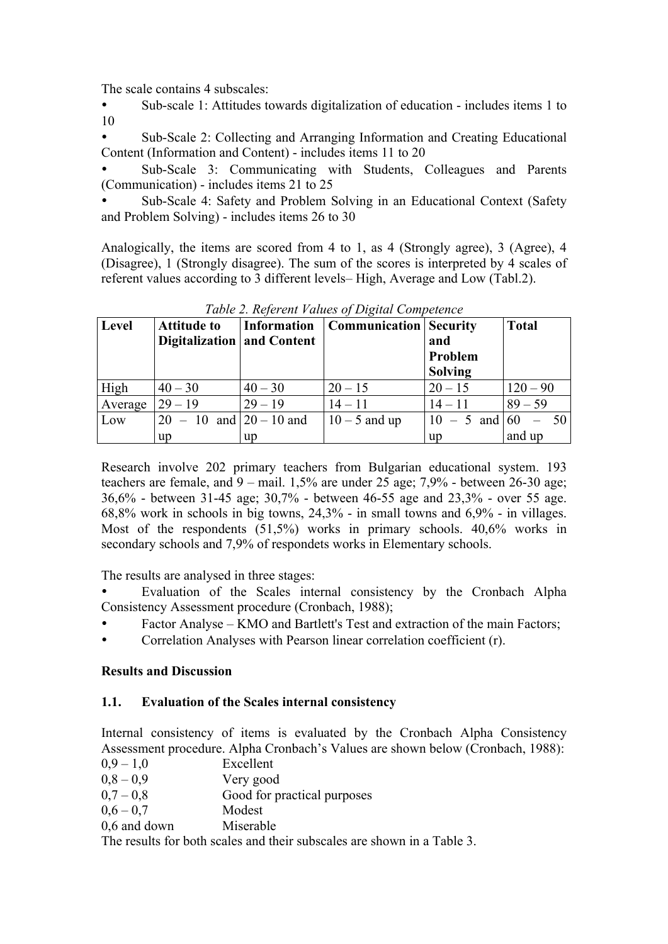The scale contains 4 subscales:

• Sub-scale 1: Attitudes towards digitalization of education - includes items 1 to 10

• Sub-Scale 2: Collecting and Arranging Information and Creating Educational Content (Information and Content) - includes items 11 to 20

• Sub-Scale 3: Communicating with Students, Colleagues and Parents (Communication) - includes items 21 to 25

• Sub-Scale 4: Safety and Problem Solving in an Educational Context (Safety and Problem Solving) - includes items 26 to 30

Аnalogically, the items are scored from 4 to 1, as 4 (Strongly agree), 3 (Agree), 4 (Disagree), 1 (Strongly disagree). The sum of the scores is interpreted by 4 scales of referent values according to 3 different levels– High, Average and Low (Tabl.2).

| Level   | <b>Attitude to</b><br>Digitalization and Content |           | Information   Communication   Security | and<br>Problem<br><b>Solving</b> | <b>Total</b> |
|---------|--------------------------------------------------|-----------|----------------------------------------|----------------------------------|--------------|
| High    | $40 - 30$                                        | $40 - 30$ | $20 - 15$                              | $20 - 15$                        | $120 - 90$   |
| Average | $29 - 19$                                        | $29 - 19$ | $14 - 11$                              | $14 - 11$                        | $89 - 59$    |
| Low     | $20 - 10$ and $20 - 10$ and                      |           | $10 - 5$ and up                        | $10 - 5$ and $60 - 50$           |              |
|         | up                                               | <b>up</b> |                                        | up                               | and up       |

*Table 2. Referent Values of Digital Competence*

Research involve 202 primary teachers from Bulgarian educational system. 193 teachers are female, and 9 – mail. 1,5% are under 25 age; 7,9% - between 26-30 age; 36,6% - between 31-45 age; 30,7% - between 46-55 age and 23,3% - over 55 age. 68,8% work in schools in big towns, 24,3% - in small towns and 6,9% - in villages. Most of the respondents (51,5%) works in primary schools. 40,6% works in secondary schools and 7,9% of respondets works in Elementary schools.

The results are analysed in three stages:

• Evaluation of the Scales internal consistency by the Cronbach Alpha Consistency Assessment procedure (Cronbach, 1988);

- Factor Analyse KMO and Bartlett's Test and extraction of the main Factors;
- Correlation Analyses with Pearson linear correlation coefficient (r).

# **Results and Discussion**

# **1.1. Evaluation of the Scales internal consistency**

Internal consistency of items is evaluated by the Cronbach Alpha Consistency Assessment procedure. Alpha Cronbach's Values are shown below (Cronbach, 1988):

- $0.9 1.0$  Excellent<br> $0.8 0.9$  Very good
- Very good
- $0.7 0.8$  Good for practical purposes
- $0.6 0.7$  Modest
- 0.6 and down Miserable

The results for both scales and their subscales are shown in a Table 3.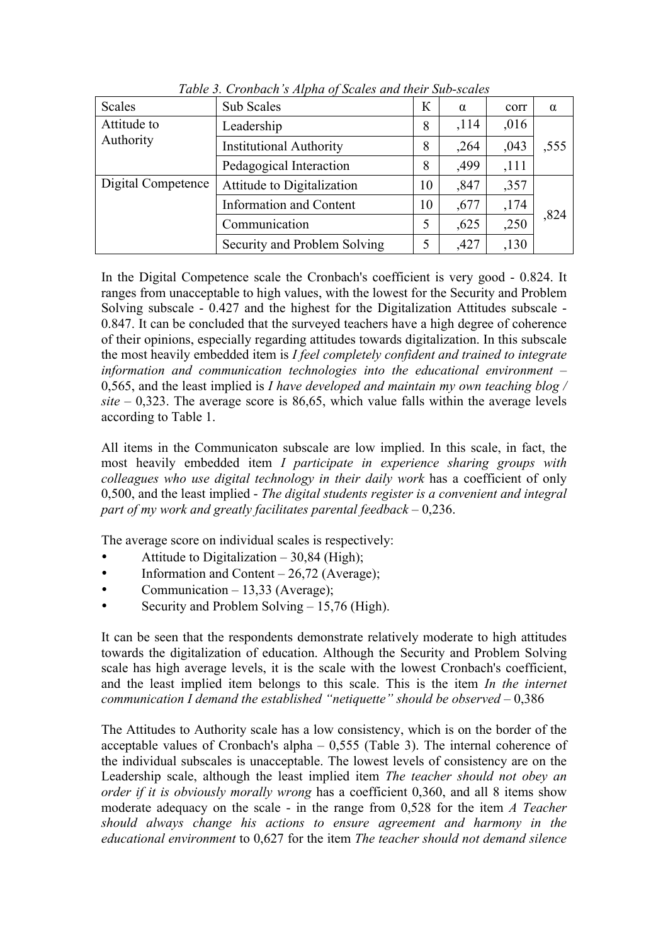| <b>Scales</b>      | Sub Scales                     | К  | $\alpha$ | corr  | $\alpha$ |  |
|--------------------|--------------------------------|----|----------|-------|----------|--|
| Attitude to        | ,114<br>Leadership<br>8        |    | ,016     |       |          |  |
| Authority          | <b>Institutional Authority</b> | 8  | ,264     | ,043  | ,555     |  |
|                    | Pedagogical Interaction        | 8  | ,499     | ,111  |          |  |
| Digital Competence | Attitude to Digitalization     | 10 | ,847     | ,357  |          |  |
|                    | <b>Information and Content</b> | 10 | ,677     | ,174  | ,824     |  |
|                    | Communication                  | 5  | ,625     | ,250  |          |  |
|                    | Security and Problem Solving   | 5  | ,427     | , 130 |          |  |

*Table 3. Cronbach's Alpha of Scales and their Sub-scales*

In the Digital Competence scale the Cronbach's coefficient is very good - 0.824. It ranges from unacceptable to high values, with the lowest for the Security and Problem Solving subscale - 0.427 and the highest for the Digitalization Attitudes subscale - 0.847. It can be concluded that the surveyed teachers have a high degree of coherence of their opinions, especially regarding attitudes towards digitalization. In this subscale the most heavily embedded item is *I feel completely confident and trained to integrate information and communication technologies into the educational environment* – 0,565, and the least implied is *I have developed and maintain my own teaching blog / site* – 0,323. The average score is 86,65, which value falls within the average levels according to Table 1.

All items in the Communicaton subscale are low implied. In this scale, in fact, the most heavily embedded item *I participate in experience sharing groups with colleagues who use digital technology in their daily work* has a coefficient of only 0,500, and the least implied - *The digital students register is a convenient and integral part of my work and greatly facilitates parental feedback* – 0,236.

The average score on individual scales is respectively:

- Attitude to Digitalization  $-30,84$  (High);
- Information and Content 26,72 (Average);
- Communication  $-13,33$  (Average);
- Security and Problem Solving 15,76 (High).

It can be seen that the respondents demonstrate relatively moderate to high attitudes towards the digitalization of education. Although the Security and Problem Solving scale has high average levels, it is the scale with the lowest Cronbach's coefficient, and the least implied item belongs to this scale. This is the item *In the internet communication I demand the established "netiquette" should be observed* – 0,386

The Attitudes to Authority scale has a low consistency, which is on the border of the acceptable values of Cronbach's alpha – 0,555 (Table 3). The internal coherence of the individual subscales is unacceptable. The lowest levels of consistency are on the Leadership scale, although the least implied item *The teacher should not obey an order if it is obviously morally wrong* has a coefficient 0,360, and all 8 items show moderate adequacy on the scale - in the range from 0,528 for the item *A Teacher should always change his actions to ensure agreement and harmony in the educational environment* to 0,627 for the item *The teacher should not demand silence*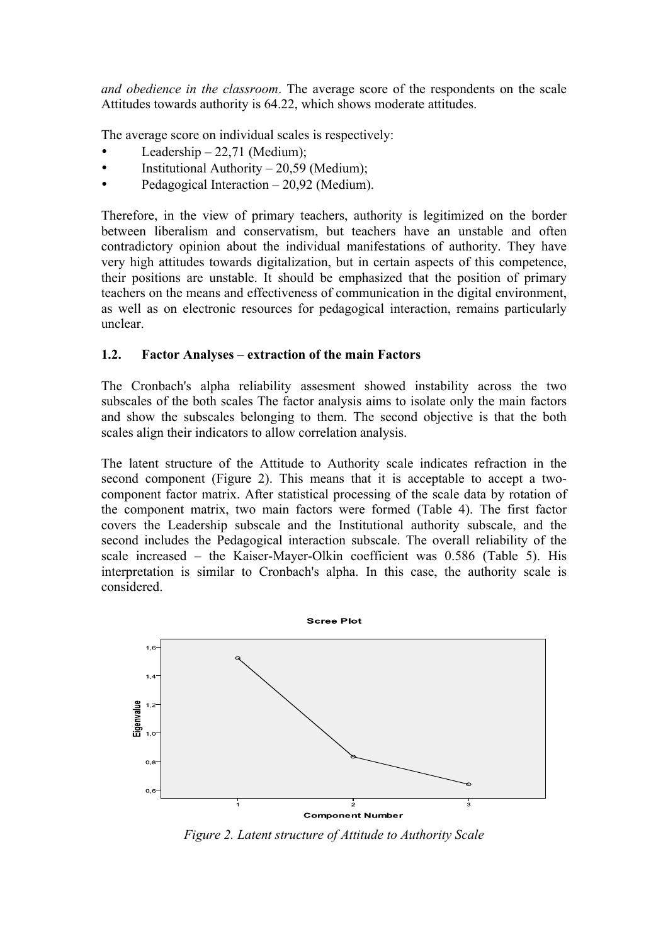*and obedience in the classroom*. The average score of the respondents on the scale Attitudes towards authority is 64.22, which shows moderate attitudes.

The average score on individual scales is respectively:

- Leadership  $-22,71$  (Medium);
- Institutional Authority 20,59 (Medium);
- Pedagogical Interaction 20,92 (Medium).

Therefore, in the view of primary teachers, authority is legitimized on the border between liberalism and conservatism, but teachers have an unstable and often contradictory opinion about the individual manifestations of authority. They have very high attitudes towards digitalization, but in certain aspects of this competence, their positions are unstable. It should be emphasized that the position of primary teachers on the means and effectiveness of communication in the digital environment, as well as on electronic resources for pedagogical interaction, remains particularly unclear.

# **1.2. Factor Analyses – extraction of the main Factors**

The Cronbach's alpha reliability assesment showed instability across the two subscales of the both scales The factor analysis aims to isolate only the main factors and show the subscales belonging to them. The second objective is that the both scales align their indicators to allow correlation analysis.

The latent structure of the Attitude to Authority scale indicates refraction in the second component (Figure 2). This means that it is acceptable to accept a twocomponent factor matrix. After statistical processing of the scale data by rotation of the component matrix, two main factors were formed (Table 4). The first factor covers the Leadership subscale and the Institutional authority subscale, and the second includes the Pedagogical interaction subscale. The overall reliability of the scale increased – the Kaiser-Mayer-Olkin coefficient was 0.586 (Table 5). His interpretation is similar to Cronbach's alpha. In this case, the authority scale is considered.



*Figure 2. Latent structure of Attitude to Authority Scale*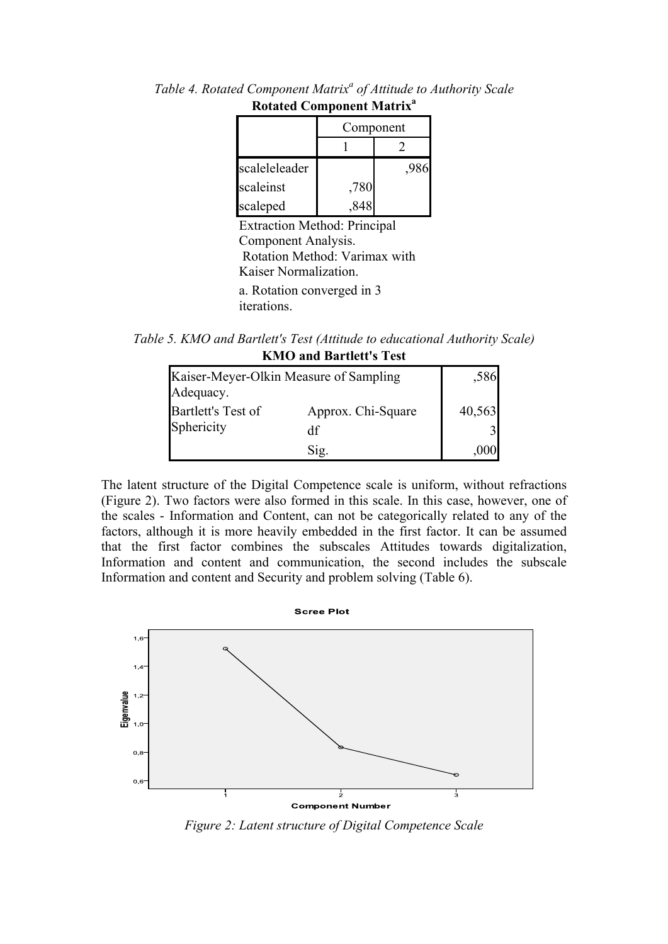|               | Component |  |  |
|---------------|-----------|--|--|
|               |           |  |  |
| scaleleleader |           |  |  |
| scaleinst     | ,780      |  |  |
| scaleped      |           |  |  |
|               |           |  |  |

*Table 4. Rotated Component Matrix<sup>a</sup> of Attitude to Authority Scale* **Rotated Component Matrix<sup>a</sup>**

Extraction Method: Principal Component Analysis. Rotation Method: Varimax with Kaiser Normalization. a. Rotation converged in 3 iterations.

*Table 5. KMO and Bartlett's Test (Attitude to educational Authority Scale)* **KMO and Bartlett's Test**

| Kaiser-Meyer-Olkin Measure of Sampling<br>Adequacy. | ,586               |        |
|-----------------------------------------------------|--------------------|--------|
| Bartlett's Test of                                  | Approx. Chi-Square | 40,563 |
| Sphericity                                          | df                 |        |
|                                                     | Sig.               |        |

The latent structure of the Digital Competence scale is uniform, without refractions (Figure 2). Two factors were also formed in this scale. In this case, however, one of the scales - Information and Content, can not be categorically related to any of the factors, although it is more heavily embedded in the first factor. It can be assumed that the first factor combines the subscales Attitudes towards digitalization, Information and content and communication, the second includes the subscale Information and content and Security and problem solving (Table 6).



*Figure 2: Latent structure of Digital Competence Scale*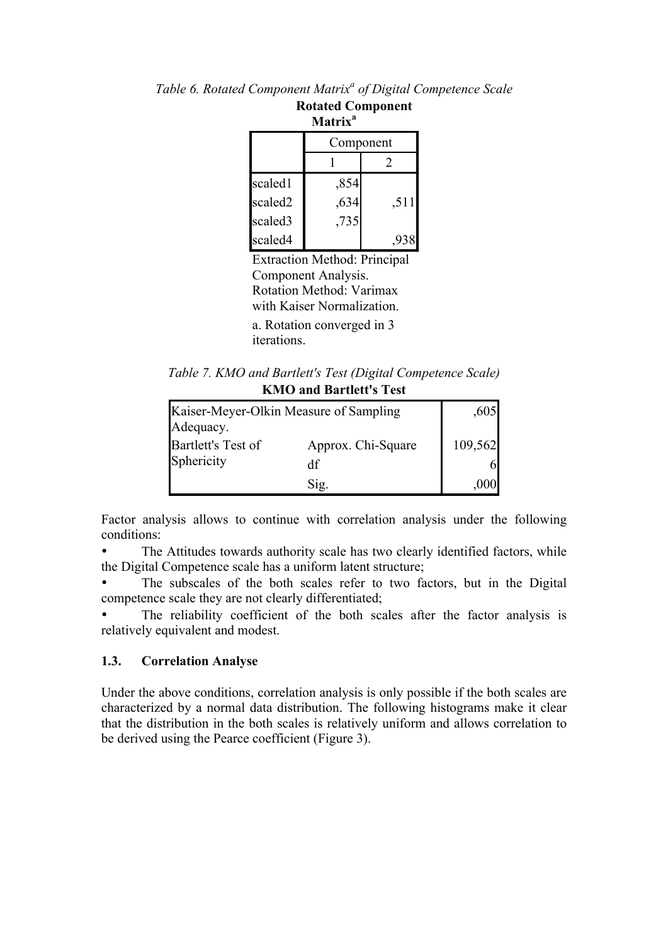| <b>Matrix</b> <sup>a</sup> |              |      |  |  |  |
|----------------------------|--------------|------|--|--|--|
|                            | Component    |      |  |  |  |
|                            |              | 2    |  |  |  |
| scaled1                    |              |      |  |  |  |
| scaled2                    | ,854<br>,634 | ,511 |  |  |  |
| scaled3                    | ,735         |      |  |  |  |
| scaled4                    |              |      |  |  |  |

Extraction Method: Principal Component Analysis. Rotation Method: Varimax with Kaiser Normalization. a. Rotation converged in 3

iterations.

*Table 7. KMO and Bartlett's Test (Digital Competence Scale)* **KMO and Bartlett's Test**

| Kaiser-Meyer-Olkin Measure of Sampling<br>Adequacy. | .605                     |         |  |  |
|-----------------------------------------------------|--------------------------|---------|--|--|
| Bartlett's Test of<br>Sphericity                    | Approx. Chi-Square<br>df | 109,562 |  |  |
|                                                     | S12.                     |         |  |  |

Factor analysis allows to continue with correlation analysis under the following conditions:

The Attitudes towards authority scale has two clearly identified factors, while the Digital Competence scale has a uniform latent structure;

The subscales of the both scales refer to two factors, but in the Digital competence scale they are not clearly differentiated;

The reliability coefficient of the both scales after the factor analysis is relatively equivalent and modest.

#### **1.3. Correlation Analyse**

Under the above conditions, correlation analysis is only possible if the both scales are characterized by a normal data distribution. The following histograms make it clear that the distribution in the both scales is relatively uniform and allows correlation to be derived using the Pearce coefficient (Figure 3).

*Table 6. Rotated Component Matrix<sup>a</sup> of Digital Competence Scale*

**Rotated Component**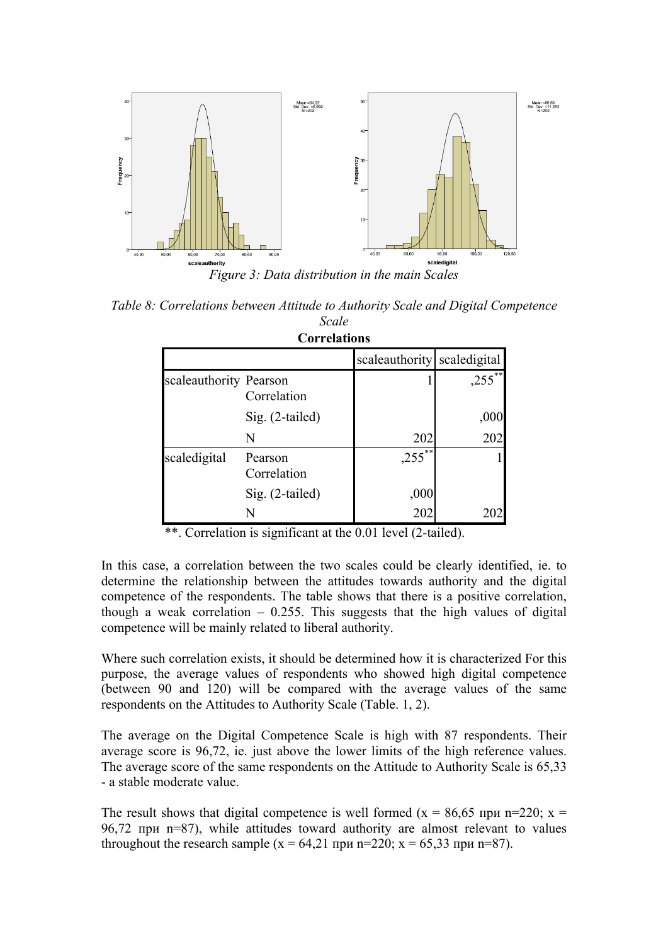

*Table 8: Correlations between Attitude to Authority Scale and Digital Competence Scale*

| <b>Correlations</b>    |                        |                             |           |  |  |
|------------------------|------------------------|-----------------------------|-----------|--|--|
|                        |                        | scaleauthority scaledigital |           |  |  |
| scaleauthority Pearson | Correlation            |                             | $,255$ ** |  |  |
|                        | Sig. (2-tailed)        |                             | ,000      |  |  |
|                        | N                      | 202                         | 202       |  |  |
| scaledigital           | Pearson<br>Correlation | $,255^{**}$                 |           |  |  |
|                        | $Sig. (2-tailed)$      | ,000                        |           |  |  |
|                        |                        | 202                         |           |  |  |

\*\*. Correlation is significant at the 0.01 level (2-tailed).

In this case, a correlation between the two scales could be clearly identified, ie. to determine the relationship between the attitudes towards authority and the digital competence of the respondents. The table shows that there is a positive correlation, though a weak correlation  $-0.255$ . This suggests that the high values of digital competence will be mainly related to liberal authority.

Where such correlation exists, it should be determined how it is characterized For this purpose, the average values of respondents who showed high digital competence (between 90 and 120) will be compared with the average values of the same respondents on the Аttitudes to Аuthority Scale (Table. 1, 2).

The average on the Digital Competence Scale is high with 87 respondents. Their average score is 96,72, ie. just above the lower limits of the high reference values. The average score of the same respondents on the Attitude to Authority Scale is 65,33 - a stable moderate value.

The result shows that digital competence is well formed (x = 86,65 при n=220; x = 96,72 при n=87), while attitudes toward authority are almost relevant to values throughout the research sample  $(x = 64,21 \text{ при } n=220; x = 65,33 \text{ при } n=87)$ .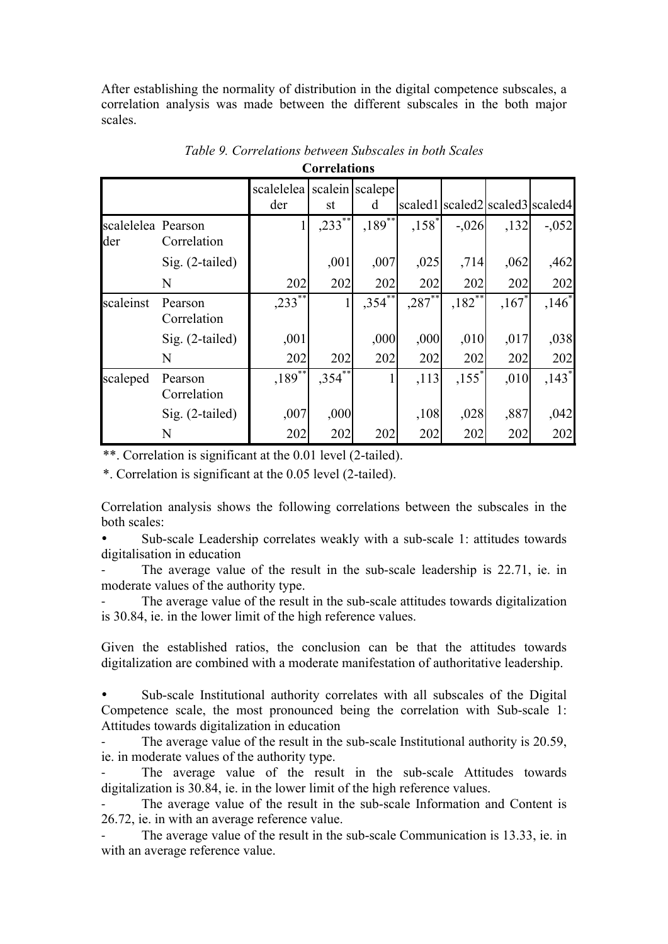After establishing the normality of distribution in the digital competence subscales, a correlation analysis was made between the different subscales in the both major scales.

|                           |                        | scalelelea scalein scalepe |             |             |                      |                     |                     |                                 |
|---------------------------|------------------------|----------------------------|-------------|-------------|----------------------|---------------------|---------------------|---------------------------------|
|                           |                        | der                        | st          | d           |                      |                     |                     | scaled1 scaled2 scaled3 scaled4 |
| scalelelea Pearson<br>der | Correlation            |                            | $,233^{**}$ | $,189^{**}$ | $,158^*$             | $-.026$             | , 132               | $-0.052$                        |
|                           | $Sig. (2-tailed)$      |                            | ,001        | ,007        | ,025                 | ,714                | ,062                | ,462                            |
|                           | N                      | 202                        | 202         | 202         | 202                  | 202                 | 202                 | 202                             |
| scaleinst                 | Pearson<br>Correlation | $,233^{*}$                 |             | $,354^{**}$ | $,287$ <sup>**</sup> | $,182^{*}$          | $,167$ <sup>*</sup> | $,146^*$                        |
|                           | $Sig. (2-tailed)$      | ,001                       |             | ,000        | ,000                 | ,010                | ,017                | ,038                            |
|                           | N                      | 202                        | 202         | 202         | 202                  | 202                 | 202                 | 202                             |
| scaleped                  | Pearson<br>Correlation | $,189$ <sup>**</sup>       | $,354^{37}$ |             | ,113                 | $,155$ <sup>*</sup> | ,010                | $,143$ <sup>*</sup>             |
|                           | Sig. (2-tailed)        | ,007                       | ,000        |             | ,108                 | ,028                | ,887                | ,042                            |
|                           | N                      | 202                        | 202         | 202         | 202                  | 202                 | 202                 | 202                             |

*Table 9. Correlations between Subscales in both Scales* **Correlations**

\*\*. Correlation is significant at the 0.01 level (2-tailed).

\*. Correlation is significant at the 0.05 level (2-tailed).

Correlation analysis shows the following correlations between the subscales in the both scales:

• Sub-scale Leadership correlates weakly with a sub-scale 1: attitudes towards digitalisation in education

The average value of the result in the sub-scale leadership is 22.71, ie. in moderate values of the authority type.

The average value of the result in the sub-scale attitudes towards digitalization is 30.84, ie. in the lower limit of the high reference values.

Given the established ratios, the conclusion can be that the attitudes towards digitalization are combined with a moderate manifestation of authoritative leadership.

• Sub-scale Institutional authority correlates with all subscales of the Digital Competence scale, the most pronounced being the correlation with Sub-scale 1: Attitudes towards digitalization in education

The average value of the result in the sub-scale Institutional authority is 20.59, ie. in moderate values of the authority type.

The average value of the result in the sub-scale Attitudes towards digitalization is 30.84, ie. in the lower limit of the high reference values.

The average value of the result in the sub-scale Information and Content is 26.72, ie. in with an average reference value.

The average value of the result in the sub-scale Communication is 13.33, ie. in with an average reference value.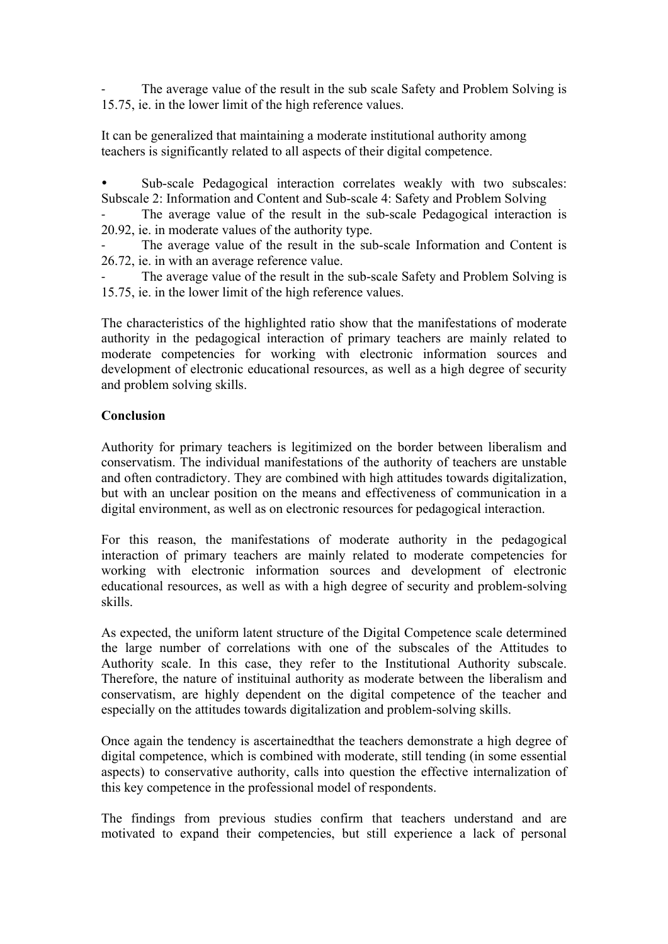The average value of the result in the sub scale Safety and Problem Solving is 15.75, ie. in the lower limit of the high reference values.

It can be generalized that maintaining a moderate institutional authority among teachers is significantly related to all aspects of their digital competence.

Sub-scale Pedagogical interaction correlates weakly with two subscales: Subscale 2: Information and Content and Sub-scale 4: Safety and Problem Solving

The average value of the result in the sub-scale Pedagogical interaction is 20.92, ie. in moderate values of the authority type.

The average value of the result in the sub-scale Information and Content is 26.72, ie. in with an average reference value.

The average value of the result in the sub-scale Safety and Problem Solving is 15.75, ie. in the lower limit of the high reference values.

The characteristics of the highlighted ratio show that the manifestations of moderate authority in the pedagogical interaction of primary teachers are mainly related to moderate competencies for working with electronic information sources and development of electronic educational resources, as well as a high degree of security and problem solving skills.

### **Conclusion**

Authority for primary teachers is legitimized on the border between liberalism and conservatism. The individual manifestations of the authority of teachers are unstable and often contradictory. They are combined with high attitudes towards digitalization, but with an unclear position on the means and effectiveness of communication in a digital environment, as well as on electronic resources for pedagogical interaction.

For this reason, the manifestations of moderate authority in the pedagogical interaction of primary teachers are mainly related to moderate competencies for working with electronic information sources and development of electronic educational resources, as well as with a high degree of security and problem-solving skills.

As expected, the uniform latent structure of the Digital Competence scale determined the large number of correlations with one of the subscales of the Attitudes to Authority scale. In this case, they refer to the Institutional Authority subscale. Therefore, the nature of instituinal authority as moderate between the liberalism and conservatism, are highly dependent on the digital competence of the teacher and especially on the attitudes towards digitalization and problem-solving skills.

Оnce again the tendency is ascertainedthat the teachers demonstrate a high degree of digital competence, which is combined with moderate, still tending (in some essential aspects) to conservative authority, calls into question the effective internalization of this key competence in the professional model of respondents.

The findings from previous studies confirm that teachers understand and are motivated to expand their competencies, but still experience a lack of personal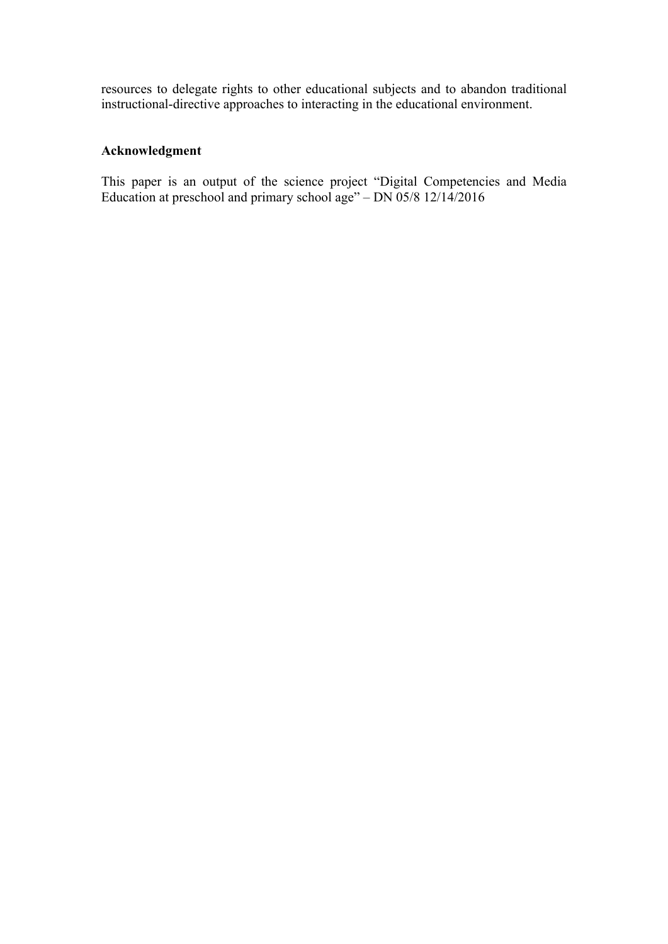resources to delegate rights to other educational subjects and to abandon traditional instructional-directive approaches to interacting in the educational environment.

# **Acknowledgment**

This paper is an output of the science project "Digital Competencies and Media Education at preschool and primary school age" – DN 05/8 12/14/2016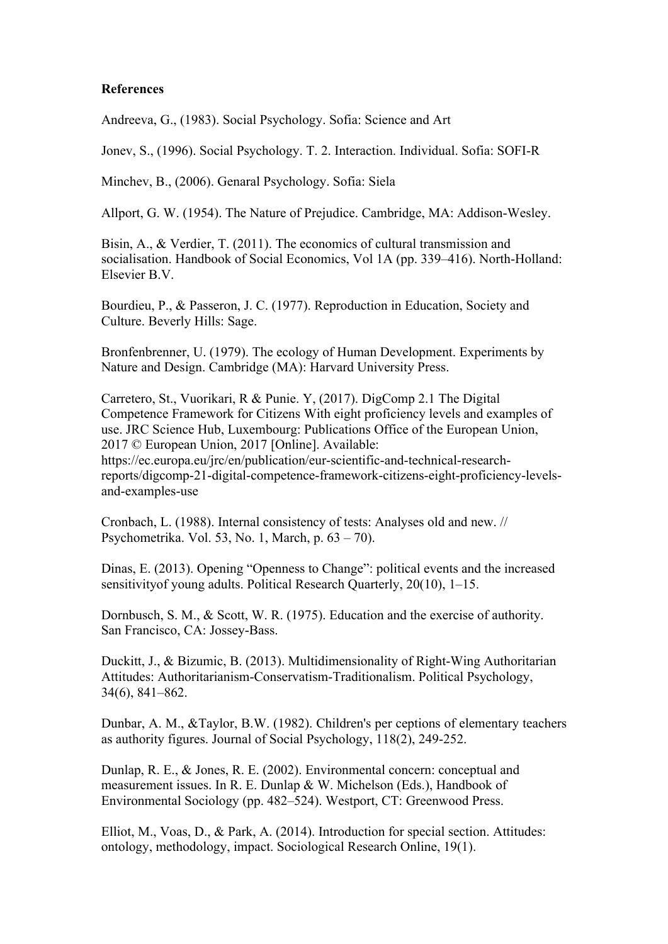#### **References**

Andreeva, G., (1983). Social Psychology. Sofia: Science and Art

Jonev, S., (1996). Social Psychology. Т. 2. Interaction. Individual. Sofia: SOFI-R

Minchev, B., (2006). Genaral Psychology. Sofia: Siela

Allport, G. W. (1954). The Nature of Prejudice. Cambridge, MA: Addison-Wesley.

Bisin, A., & Verdier, T. (2011). The economics of cultural transmission and socialisation. Handbook of Social Economics, Vol 1A (pp. 339–416). North-Holland: Elsevier B.V.

Bourdieu, P., & Passeron, J. C. (1977). Reproduction in Education, Society and Culture. Beverly Hills: Sage.

Bronfenbrenner, U. (1979). The ecology of Human Development. Experiments by Nature and Design. Cambridge (MA): Harvard University Press.

Carretero, St., Vuorikari, R & Punie. Y, (2017). DigComp 2.1 The Digital Competence Framework for Citizens With eight proficiency levels and examples of use. JRC Science Hub, Luxembourg: Publications Office of the European Union, 2017 © European Union, 2017 [Online]. Available: https://ec.europa.eu/jrc/en/publication/eur-scientific-and-technical-researchreports/digcomp-21-digital-competence-framework-citizens-eight-proficiency-levels-

and-examples-use

Cronbach, L. (1988). Internal consistency of tests: Analyses old and new. // Psychometrika. Vol. 53, No. 1, March, p. 63 – 70).

Dinas, E. (2013). Opening "Openness to Change": political events and the increased sensitivityof young adults. Political Research Quarterly, 20(10), 1–15.

Dornbusch, S. M., & Scott, W. R. (1975). Education and the exercise of authority. San Francisco, CA: Jossey-Bass.

Duckitt, J., & Bizumic, B. (2013). Multidimensionality of Right-Wing Authoritarian Attitudes: Authoritarianism-Conservatism-Traditionalism. Political Psychology, 34(6), 841–862.

Dunbar, A. M., &Taylor, B.W. (1982). Children's per ceptions of elementary teachers as authority figures. Journal of Social Psychology, 118(2), 249-252.

Dunlap, R. E., & Jones, R. E. (2002). Environmental concern: conceptual and measurement issues. In R. E. Dunlap & W. Michelson (Eds.), Handbook of Environmental Sociology (pp. 482–524). Westport, CT: Greenwood Press.

Elliot, M., Voas, D., & Park, A. (2014). Introduction for special section. Attitudes: ontology, methodology, impact. Sociological Research Online, 19(1).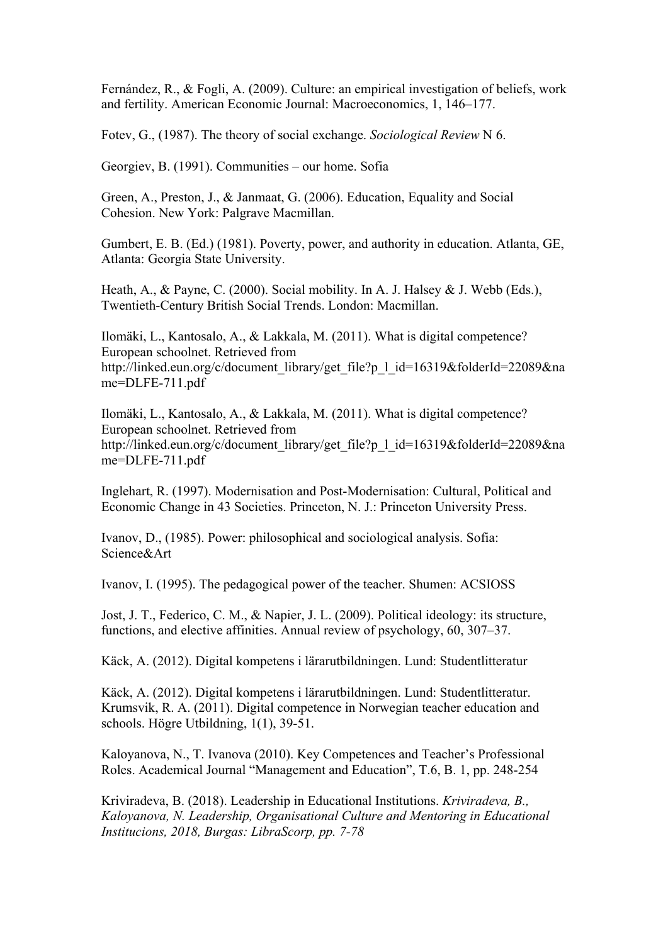Fernández, R., & Fogli, A. (2009). Culture: an empirical investigation of beliefs, work and fertility. American Economic Journal: Macroeconomics, 1, 146–177.

Fotev, G., (1987). The theory of social exchange. *Sociological Review* N 6.

Georgiev, B. (1991). Communities – our home. Sofia

Green, A., Preston, J., & Janmaat, G. (2006). Education, Equality and Social Cohesion. New York: Palgrave Macmillan.

Gumbert, E. B. (Ed.) (1981). Poverty, power, and authority in education. Atlanta, GE, Atlanta: Georgia State University.

Heath, A., & Payne, C. (2000). Social mobility. In A. J. Halsey & J. Webb (Eds.), Twentieth-Century British Social Trends. London: Macmillan.

Ilomäki, L., Kantosalo, A., & Lakkala, M. (2011). What is digital competence? European schoolnet. Retrieved from http://linked.eun.org/c/document\_library/get\_file?p\_1\_id=16319&folderId=22089&na me=DLFE-711.pdf

Ilomäki, L., Kantosalo, A., & Lakkala, M. (2011). What is digital competence? European schoolnet. Retrieved from http://linked.eun.org/c/document\_library/get\_file?p\_1\_id=16319&folderId=22089&na me=DLFE-711.pdf

Inglehart, R. (1997). Modernisation and Post-Modernisation: Cultural, Political and Economic Change in 43 Societies. Princeton, N. J.: Princeton University Press.

Ivanov, D., (1985). Power: philosophical and sociological analysis. Sofia: Science&Art

Ivanov, I. (1995). The pedagogical power of the teacher. Shumen: ACSIOSS

Jost, J. T., Federico, C. M., & Napier, J. L. (2009). Political ideology: its structure, functions, and elective affinities. Annual review of psychology, 60, 307–37.

Käck, A. (2012). Digital kompetens i lärarutbildningen. Lund: Studentlitteratur

Käck, A. (2012). Digital kompetens i lärarutbildningen. Lund: Studentlitteratur. Krumsvik, R. A. (2011). Digital competence in Norwegian teacher education and schools. Högre Utbildning, 1(1), 39-51.

Kaloyanova, N., T. Ivanova (2010). Key Competences and Teacher's Professional Roles. Academical Journal "Management and Education", T.6, B. 1, pp. 248-254

Kriviradeva, B. (2018). Leаdership in Educational Institutions. *Kriviradeva, B., Kaloyanova, N. Leadership, Organisational Culture and Mentoring in Educational Institucions, 2018, Burgas: LibraScorp, pp. 7-78*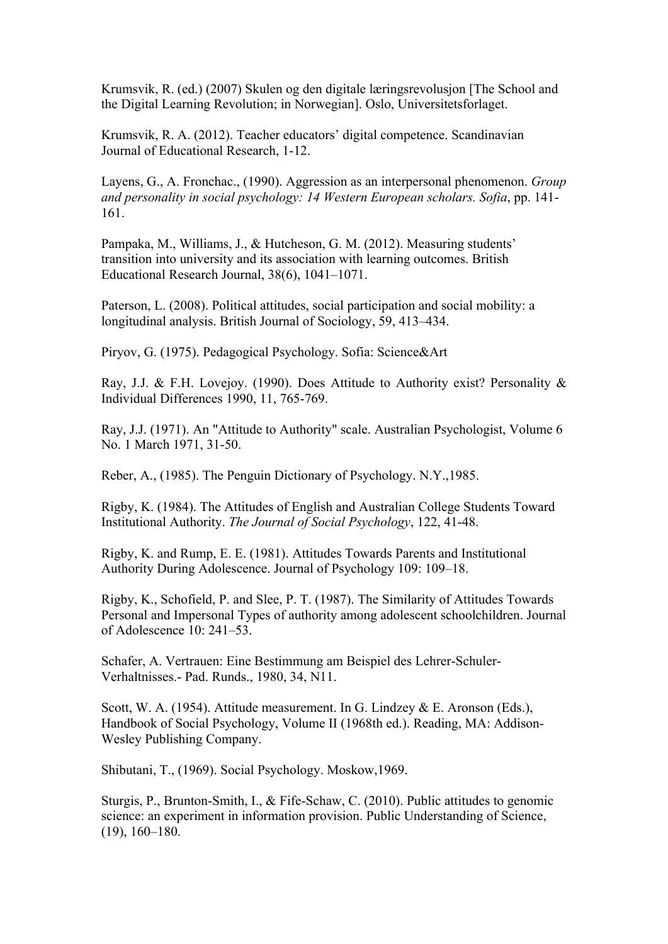Krumsvik, R. (ed.) (2007) Skulen og den digitale læringsrevolusjon [The School and the Digital Learning Revolution; in Norwegian]. Oslo, Universitetsforlaget.

Krumsvik, R. A. (2012). Teacher educators' digital competence. Scandinavian Journal of Educational Research, 1-12.

Layens, G., А. Fronchac., (1990). Aggression as an interpersonal phenomenon. *Group and personality in social psychology: 14 Western European scholars. Sofia*, pp. 141- 161.

Pampaka, M., Williams, J., & Hutcheson, G. M. (2012). Measuring students' transition into university and its association with learning outcomes. British Educational Research Journal, 38(6), 1041–1071.

Paterson, L. (2008). Political attitudes, social participation and social mobility: a longitudinal analysis. British Journal of Sociology, 59, 413–434.

Piryov, G. (1975). Pedagogical Psychology. Sofia: Science&Art

Ray, J.J. & F.H. Lovejoy. (1990). Does Attitude to Authority exist? Personality & Individual Differences 1990, 11, 765-769.

Ray, J.J. (1971). An "Attitude to Authority" scale. Australian Psychologist, Volume 6 No. 1 March 1971, 31-50.

Reber, A., (1985). The Penguin Dictionary of Psychology. N.Y.,1985.

Rigby, K. (1984). The Attitudes of English and Australian College Students Toward Institutional Authority. *The Journal of Social Psychology*, 122, 41-48.

Rigby, K. and Rump, E. E. (1981). Attitudes Towards Parents and Institutional Authority During Adolescence. Journal of Psychology 109: 109–18.

Rigby, K., Schofield, P. and Slee, P. T. (1987). The Similarity of Attitudes Towards Personal and Impersonal Types of authority among adolescent schoolchildren. Journal of Adolescence 10: 241–53.

Schafer, A. Vertrauen: Eine Bestimmung am Beispiel des Lehrer-Schuler-Verhaltnisses.- Pad. Runds., 1980, 34, N11.

Scott, W. A. (1954). Attitude measurement. In G. Lindzey & E. Aronson (Eds.), Handbook of Social Psychology, Volume II (1968th ed.). Reading, MA: Addison-Wesley Publishing Company.

Shibutani, Т., (1969). Social Psychology. Мoskow,1969.

Sturgis, P., Brunton-Smith, I., & Fife-Schaw, C. (2010). Public attitudes to genomic science: an experiment in information provision. Public Understanding of Science, (19), 160–180.